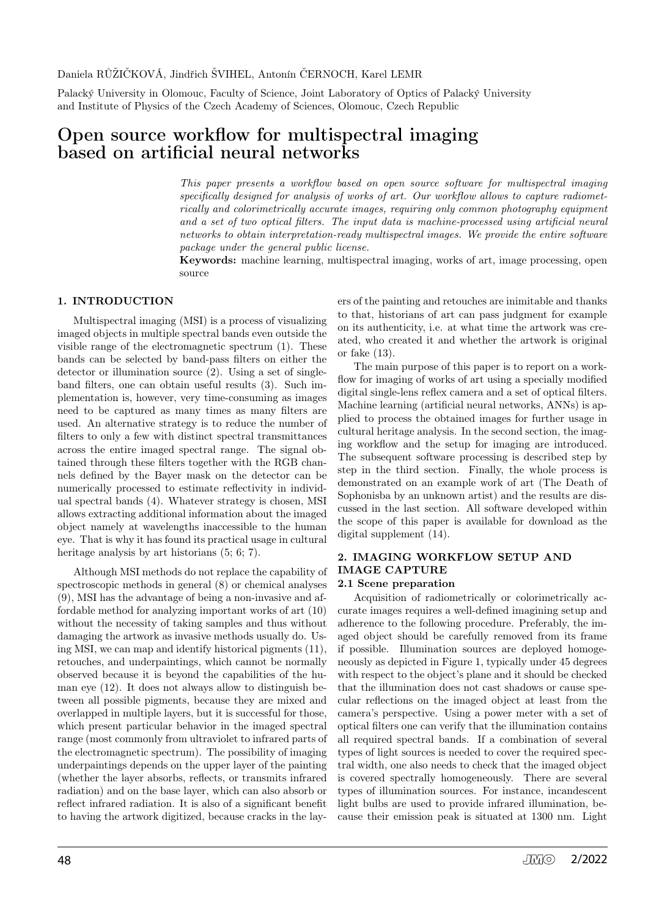#### Daniela RŮŽIČKOVÁ, Jindřich ŠVIHEL, Antonín ČERNOCH, Karel LEMR

Palacký University in Olomouc, Faculty of Science, Joint Laboratory of Optics of Palacký University and Institute of Physics of the Czech Academy of Sciences, Olomouc, Czech Republic

## Open source workflow for multispectral imaging based on artificial neural networks

This paper presents a workflow based on open source software for multispectral imaging specifically designed for analysis of works of art. Our workflow allows to capture radiometrically and colorimetrically accurate images, requiring only common photography equipment and a set of two optical filters. The input data is machine-processed using artificial neural networks to obtain interpretation-ready multispectral images. We provide the entire software package under the general public license.

Keywords: machine learning, multispectral imaging, works of art, image processing, open source

## 1. INTRODUCTION

Multispectral imaging (MSI) is a process of visualizing imaged objects in multiple spectral bands even outside the visible range of the electromagnetic spectrum (1). These bands can be selected by band-pass filters on either the detector or illumination source (2). Using a set of singleband filters, one can obtain useful results (3). Such implementation is, however, very time-consuming as images need to be captured as many times as many filters are used. An alternative strategy is to reduce the number of filters to only a few with distinct spectral transmittances across the entire imaged spectral range. The signal obtained through these filters together with the RGB channels defined by the Bayer mask on the detector can be numerically processed to estimate reflectivity in individual spectral bands (4). Whatever strategy is chosen, MSI allows extracting additional information about the imaged object namely at wavelengths inaccessible to the human eye. That is why it has found its practical usage in cultural heritage analysis by art historians  $(5, 6, 7)$ .

Although MSI methods do not replace the capability of spectroscopic methods in general (8) or chemical analyses (9), MSI has the advantage of being a non-invasive and affordable method for analyzing important works of art (10) without the necessity of taking samples and thus without damaging the artwork as invasive methods usually do. Using MSI, we can map and identify historical pigments (11), retouches, and underpaintings, which cannot be normally observed because it is beyond the capabilities of the human eye (12). It does not always allow to distinguish between all possible pigments, because they are mixed and overlapped in multiple layers, but it is successful for those, which present particular behavior in the imaged spectral range (most commonly from ultraviolet to infrared parts of the electromagnetic spectrum). The possibility of imaging underpaintings depends on the upper layer of the painting (whether the layer absorbs, reflects, or transmits infrared radiation) and on the base layer, which can also absorb or reflect infrared radiation. It is also of a significant benefit to having the artwork digitized, because cracks in the layers of the painting and retouches are inimitable and thanks to that, historians of art can pass judgment for example on its authenticity, i.e. at what time the artwork was created, who created it and whether the artwork is original or fake (13).

The main purpose of this paper is to report on a workflow for imaging of works of art using a specially modified digital single-lens reflex camera and a set of optical filters. Machine learning (artificial neural networks, ANNs) is applied to process the obtained images for further usage in cultural heritage analysis. In the second section, the imaging workflow and the setup for imaging are introduced. The subsequent software processing is described step by step in the third section. Finally, the whole process is demonstrated on an example work of art (The Death of Sophonisba by an unknown artist) and the results are discussed in the last section. All software developed within the scope of this paper is available for download as the digital supplement (14).

## 2. IMAGING WORKFLOW SETUP AND IMAGE CAPTURE

#### 2.1 Scene preparation

Acquisition of radiometrically or colorimetrically accurate images requires a well-defined imagining setup and adherence to the following procedure. Preferably, the imaged object should be carefully removed from its frame if possible. Illumination sources are deployed homogeneously as depicted in Figure 1, typically under 45 degrees with respect to the object's plane and it should be checked that the illumination does not cast shadows or cause specular reflections on the imaged object at least from the camera's perspective. Using a power meter with a set of optical filters one can verify that the illumination contains all required spectral bands. If a combination of several types of light sources is needed to cover the required spectral width, one also needs to check that the imaged object is covered spectrally homogeneously. There are several types of illumination sources. For instance, incandescent light bulbs are used to provide infrared illumination, because their emission peak is situated at 1300 nm. Light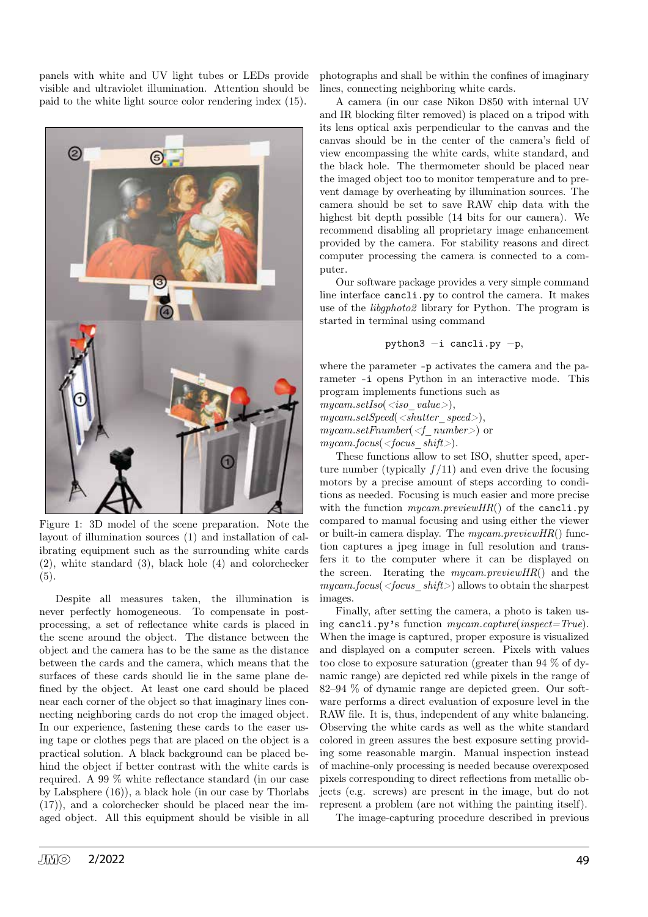panels with white and UV light tubes or LEDs provide visible and ultraviolet illumination. Attention should be paid to the white light source color rendering index (15).



Figure 1: 3D model of the scene preparation. Note the layout of illumination sources (1) and installation of calibrating equipment such as the surrounding white cards (2), white standard (3), black hole (4) and colorchecker  $(5).$ 

Despite all measures taken, the illumination is never perfectly homogeneous. To compensate in postprocessing, a set of reflectance white cards is placed in the scene around the object. The distance between the object and the camera has to be the same as the distance between the cards and the camera, which means that the surfaces of these cards should lie in the same plane defined by the object. At least one card should be placed near each corner of the object so that imaginary lines connecting neighboring cards do not crop the imaged object. In our experience, fastening these cards to the easer using tape or clothes pegs that are placed on the object is a practical solution. A black background can be placed behind the object if better contrast with the white cards is required. A 99 % white reflectance standard (in our case by Labsphere (16)), a black hole (in our case by Thorlabs (17)), and a colorchecker should be placed near the imaged object. All this equipment should be visible in all

photographs and shall be within the confines of imaginary lines, connecting neighboring white cards.

A camera (in our case Nikon D850 with internal UV and IR blocking filter removed) is placed on a tripod with its lens optical axis perpendicular to the canvas and the canvas should be in the center of the camera's field of view encompassing the white cards, white standard, and the black hole. The thermometer should be placed near the imaged object too to monitor temperature and to prevent damage by overheating by illumination sources. The camera should be set to save RAW chip data with the highest bit depth possible (14 bits for our camera). We recommend disabling all proprietary image enhancement provided by the camera. For stability reasons and direct computer processing the camera is connected to a computer.

Our software package provides a very simple command line interface cancli.py to control the camera. It makes use of the libgphoto2 library for Python. The program is started in terminal using command

$$
\hbox{python3 --i \:cancli.py --p,}
$$

where the parameter -p activates the camera and the parameter -i opens Python in an interactive mode. This program implements functions such as

 $mycam.setIso(*iso*value>),$ 

 $mycam.setSpeed(**shutter** speed>),$ 

 $mycam.setFnumber(*f* number>)$  or

 $mycam.focus(*focus shift*)$ .

These functions allow to set ISO, shutter speed, aperture number (typically  $f/11$ ) and even drive the focusing motors by a precise amount of steps according to conditions as needed. Focusing is much easier and more precise with the function  $mucam.previewHR()$  of the cancli.py compared to manual focusing and using either the viewer or built-in camera display. The  $mycam.previewHR()$  function captures a jpeg image in full resolution and transfers it to the computer where it can be displayed on the screen. Iterating the  $mycam.previewHR()$  and the  $mycam.focus(*focus shift>*)$  allows to obtain the sharpest images.

Finally, after setting the camera, a photo is taken using cancli.py's function mycam.capture(inspect=True). When the image is captured, proper exposure is visualized and displayed on a computer screen. Pixels with values too close to exposure saturation (greater than 94 % of dynamic range) are depicted red while pixels in the range of 82–94 % of dynamic range are depicted green. Our software performs a direct evaluation of exposure level in the RAW file. It is, thus, independent of any white balancing. Observing the white cards as well as the white standard colored in green assures the best exposure setting providing some reasonable margin. Manual inspection instead of machine-only processing is needed because overexposed pixels corresponding to direct reflections from metallic objects (e.g. screws) are present in the image, but do not represent a problem (are not withing the painting itself).

The image-capturing procedure described in previous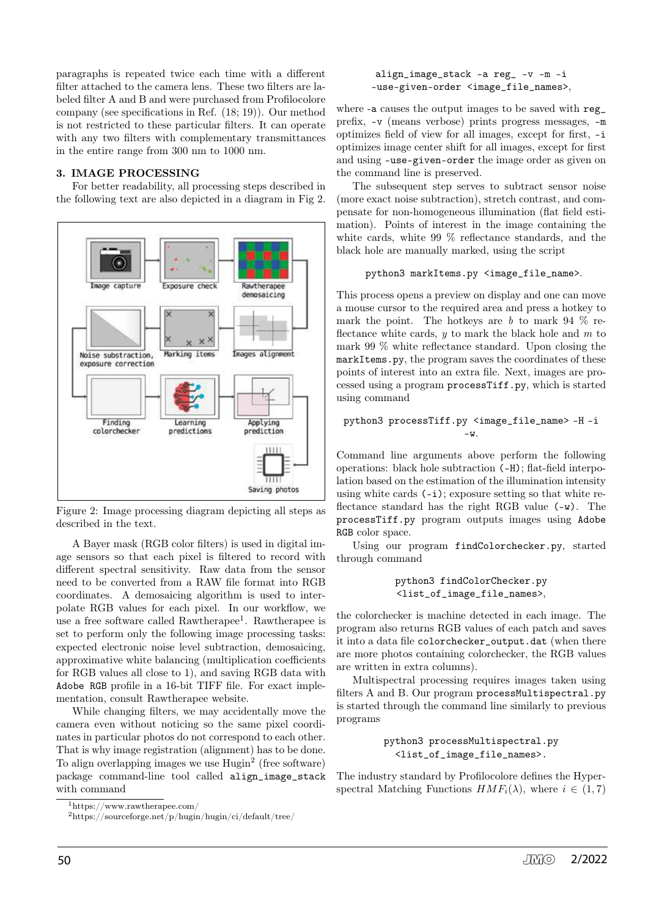paragraphs is repeated twice each time with a different filter attached to the camera lens. These two filters are labeled filter A and B and were purchased from Profilocolore company (see specifications in Ref. (18; 19)). Our method is not restricted to these particular filters. It can operate with any two filters with complementary transmittances in the entire range from 300 nm to 1000 nm.

## 3. IMAGE PROCESSING

For better readability, all processing steps described in the following text are also depicted in a diagram in Fig 2.



Figure 2: Image processing diagram depicting all steps as described in the text.

A Bayer mask (RGB color filters) is used in digital image sensors so that each pixel is filtered to record with different spectral sensitivity. Raw data from the sensor need to be converted from a RAW file format into RGB coordinates. A demosaicing algorithm is used to interpolate RGB values for each pixel. In our workflow, we use a free software called Rawtherapee<sup>1</sup>. Rawtherapee is set to perform only the following image processing tasks: expected electronic noise level subtraction, demosaicing, approximative white balancing (multiplication coefficients for RGB values all close to 1), and saving RGB data with Adobe RGB profile in a 16-bit TIFF file. For exact implementation, consult Rawtherapee website.

While changing filters, we may accidentally move the camera even without noticing so the same pixel coordinates in particular photos do not correspond to each other. That is why image registration (alignment) has to be done. To align overlapping images we use  $Hugin^2$  (free software) package command-line tool called align\_image\_stack with command

#### align\_image\_stack -a reg\_ -v -m -i –use-given-order <image\_file\_names>,

where -a causes the output images to be saved with reg\_ prefix, -v (means verbose) prints progress messages, -m optimizes field of view for all images, except for first, -i optimizes image center shift for all images, except for first and using –use-given-order the image order as given on the command line is preserved.

The subsequent step serves to subtract sensor noise (more exact noise subtraction), stretch contrast, and compensate for non-homogeneous illumination (flat field estimation). Points of interest in the image containing the white cards, white 99 % reflectance standards, and the black hole are manually marked, using the script

## python3 markItems.py <image\_file\_name>.

This process opens a preview on display and one can move a mouse cursor to the required area and press a hotkey to mark the point. The hotkeys are b to mark 94  $\%$  reflectance white cards,  $y$  to mark the black hole and  $m$  to mark 99 % white reflectance standard. Upon closing the markItems.py, the program saves the coordinates of these points of interest into an extra file. Next, images are processed using a program processTiff.py, which is started using command

## python3 processTiff.py <image\_file\_name> -H -i -w.

Command line arguments above perform the following operations: black hole subtraction (-H); flat-field interpolation based on the estimation of the illumination intensity using white cards (-i); exposure setting so that white reflectance standard has the right RGB value (-w). The processTiff.py program outputs images using Adobe RGB color space.

Using our program findColorchecker.py, started through command

python3 findColorChecker.py <list\_of\_image\_file\_names>,

the colorchecker is machine detected in each image. The program also returns RGB values of each patch and saves it into a data file colorchecker\_output.dat (when there are more photos containing colorchecker, the RGB values are written in extra columns).

Multispectral processing requires images taken using filters A and B. Our program processMultispectral.py is started through the command line similarly to previous programs

## python3 processMultispectral.py <list\_of\_image\_file\_names>.

The industry standard by Profilocolore defines the Hyperspectral Matching Functions  $HMF_i(\lambda)$ , where  $i \in (1, 7)$ 

<sup>1</sup>https://www.rawtherapee.com/

 $^2$ https://sourceforge.net/p/hugin/hugin/ci/default/tree/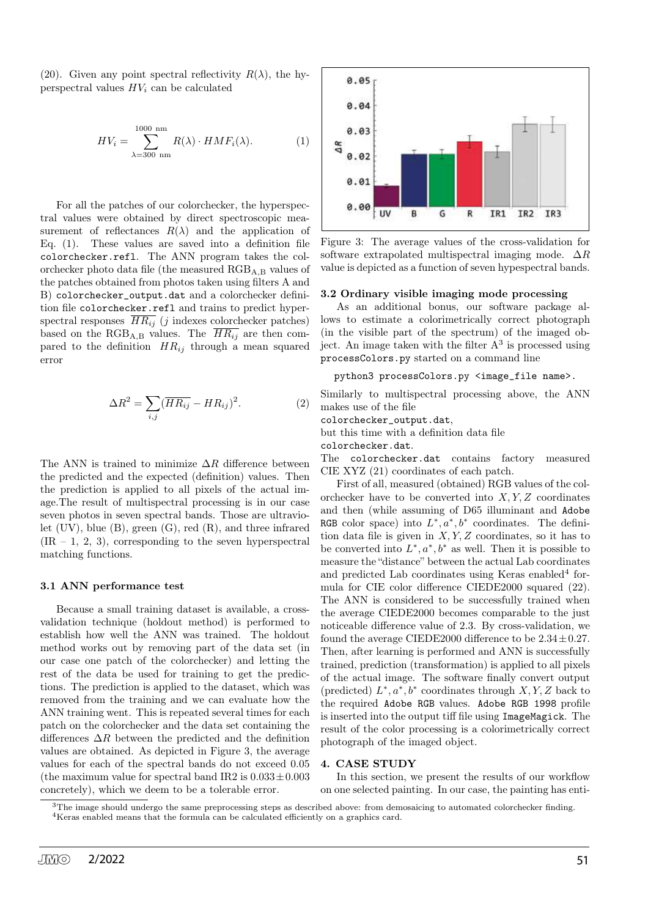(20). Given any point spectral reflectivity  $R(\lambda)$ , the hyperspectral values  $HV_i$  can be calculated

$$
HV_i = \sum_{\lambda=300 \text{ nm}}^{1000 \text{ nm}} R(\lambda) \cdot HMF_i(\lambda). \tag{1}
$$

For all the patches of our colorchecker, the hyperspectral values were obtained by direct spectroscopic measurement of reflectances  $R(\lambda)$  and the application of Eq. (1). These values are saved into a definition file colorchecker.refl. The ANN program takes the colorchecker photo data file (the measured  $RGB_{A,B}$  values of the patches obtained from photos taken using filters A and B) colorchecker\_output.dat and a colorchecker definition file colorchecker.refl and trains to predict hyperspectral responses  $\overline{HR_{ij}}$  (j indexes colorchecker patches) based on the RGB<sub>A,B</sub> values. The  $\overline{HR_{ij}}$  are then compared to the definition  $HR_{ij}$  through a mean squared error

$$
\Delta R^2 = \sum_{i,j} (\overline{HR_{ij}} - HR_{ij})^2.
$$
 (2)

The ANN is trained to minimize  $\Delta R$  difference between the predicted and the expected (definition) values. Then the prediction is applied to all pixels of the actual image.The result of multispectral processing is in our case seven photos in seven spectral bands. Those are ultraviolet (UV), blue (B), green (G), red (R), and three infrared  $(IR - 1, 2, 3)$ , corresponding to the seven hyperspectral matching functions.

#### 3.1 ANN performance test

Because a small training dataset is available, a crossvalidation technique (holdout method) is performed to establish how well the ANN was trained. The holdout method works out by removing part of the data set (in our case one patch of the colorchecker) and letting the rest of the data be used for training to get the predictions. The prediction is applied to the dataset, which was removed from the training and we can evaluate how the ANN training went. This is repeated several times for each patch on the colorchecker and the data set containing the differences  $\Delta R$  between the predicted and the definition values are obtained. As depicted in Figure 3, the average values for each of the spectral bands do not exceed 0.05 (the maximum value for spectral band IR2 is  $0.033 \pm 0.003$ ) concretely), which we deem to be a tolerable error.



Figure 3: The average values of the cross-validation for software extrapolated multispectral imaging mode.  $\Delta R$ value is depicted as a function of seven hypespectral bands.

#### 3.2 Ordinary visible imaging mode processing

As an additional bonus, our software package allows to estimate a colorimetrically correct photograph (in the visible part of the spectrum) of the imaged object. An image taken with the filter  $A^3$  is processed using processColors.py started on a command line

```
python3 processColors.py <image_file name>.
```
Similarly to multispectral processing above, the ANN makes use of the file

colorchecker\_output.dat,

but this time with a definition data file

colorchecker.dat.

The colorchecker.dat contains factory measured CIE XYZ (21) coordinates of each patch.

First of all, measured (obtained) RGB values of the colorchecker have to be converted into  $X, Y, Z$  coordinates and then (while assuming of D65 illuminant and Adobe RGB color space) into  $L^*, a^*, b^*$  coordinates. The definition data file is given in  $X, Y, Z$  coordinates, so it has to be converted into  $L^*, a^*, b^*$  as well. Then it is possible to measure the "distance" between the actual Lab coordinates and predicted Lab coordinates using Keras enabled<sup>4</sup> formula for CIE color difference CIEDE2000 squared (22). The ANN is considered to be successfully trained when the average CIEDE2000 becomes comparable to the just noticeable difference value of 2.3. By cross-validation, we found the average CIEDE2000 difference to be  $2.34 \pm 0.27$ . Then, after learning is performed and ANN is successfully trained, prediction (transformation) is applied to all pixels of the actual image. The software finally convert output (predicted)  $L^*, a^*, b^*$  coordinates through  $X, Y, Z$  back to the required Adobe RGB values. Adobe RGB 1998 profile is inserted into the output tiff file using ImageMagick. The result of the color processing is a colorimetrically correct photograph of the imaged object.

#### 4. CASE STUDY

In this section, we present the results of our workflow on one selected painting. In our case, the painting has enti-

<sup>&</sup>lt;sup>3</sup>The image should undergo the same preprocessing steps as described above: from demosaicing to automated colorchecker finding. <sup>4</sup>Keras enabled means that the formula can be calculated efficiently on a graphics card.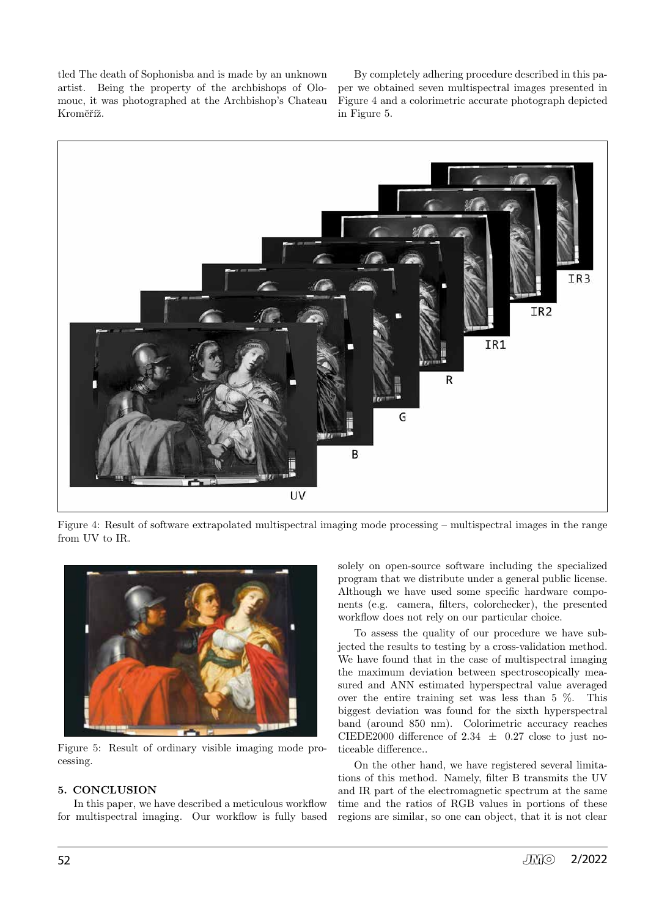tled The death of Sophonisba and is made by an unknown artist. Being the property of the archbishops of Olomouc, it was photographed at the Archbishop's Chateau Kroměříž.

By completely adhering procedure described in this paper we obtained seven multispectral images presented in Figure 4 and a colorimetric accurate photograph depicted in Figure 5.



Figure 4: Result of software extrapolated multispectral imaging mode processing – multispectral images in the range from UV to IR.



Figure 5: Result of ordinary visible imaging mode processing.

## 5. CONCLUSION

In this paper, we have described a meticulous workflow for multispectral imaging. Our workflow is fully based solely on open-source software including the specialized program that we distribute under a general public license. Although we have used some specific hardware components (e.g. camera, filters, colorchecker), the presented workflow does not rely on our particular choice.

To assess the quality of our procedure we have subjected the results to testing by a cross-validation method. We have found that in the case of multispectral imaging the maximum deviation between spectroscopically measured and ANN estimated hyperspectral value averaged over the entire training set was less than 5 %. This biggest deviation was found for the sixth hyperspectral band (around 850 nm). Colorimetric accuracy reaches CIEDE2000 difference of 2.34  $\pm$  0.27 close to just noticeable difference..

On the other hand, we have registered several limitations of this method. Namely, filter B transmits the UV and IR part of the electromagnetic spectrum at the same time and the ratios of RGB values in portions of these regions are similar, so one can object, that it is not clear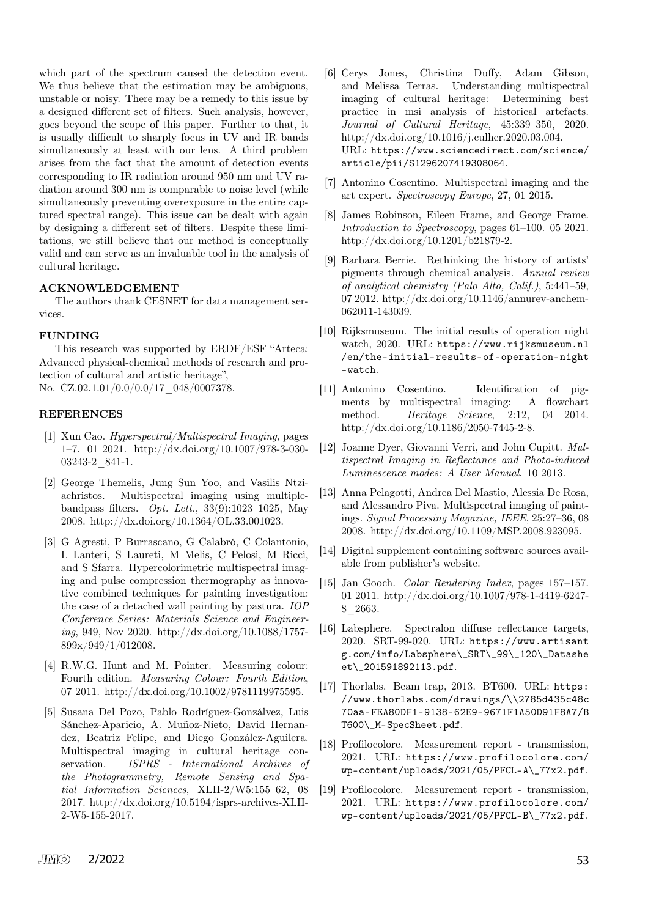which part of the spectrum caused the detection event. We thus believe that the estimation may be ambiguous, unstable or noisy. There may be a remedy to this issue by a designed different set of filters. Such analysis, however, goes beyond the scope of this paper. Further to that, it is usually difficult to sharply focus in UV and IR bands simultaneously at least with our lens. A third problem arises from the fact that the amount of detection events corresponding to IR radiation around 950 nm and UV radiation around 300 nm is comparable to noise level (while simultaneously preventing overexposure in the entire captured spectral range). This issue can be dealt with again by designing a different set of filters. Despite these limitations, we still believe that our method is conceptually valid and can serve as an invaluable tool in the analysis of cultural heritage.

## ACKNOWLEDGEMENT

The authors thank CESNET for data management services.

## FUNDING

This research was supported by ERDF/ESF "Arteca: Advanced physical-chemical methods of research and protection of cultural and artistic heritage", No. CZ.02.1.01/0.0/0.0/17\_048/0007378.

## REFERENCES

- [1] Xun Cao. *Hyperspectral/Multispectral Imaging*, pages 1–7. 01 2021. http://dx.doi.org/10.1007/978-3-030- 03243-2\_841-1.
- [2] George Themelis, Jung Sun Yoo, and Vasilis Ntziachristos. Multispectral imaging using multiplebandpass filters. *Opt. Lett.*, 33(9):1023–1025, May 2008. http://dx.doi.org/10.1364/OL.33.001023.
- [3] G Agresti, P Burrascano, G Calabró, C Colantonio, L Lanteri, S Laureti, M Melis, C Pelosi, M Ricci, and S Sfarra. Hypercolorimetric multispectral imaging and pulse compression thermography as innovative combined techniques for painting investigation: the case of a detached wall painting by pastura. *IOP Conference Series: Materials Science and Engineering*, 949, Nov 2020. http://dx.doi.org/10.1088/1757- 899x/949/1/012008.
- [4] R.W.G. Hunt and M. Pointer. Measuring colour: Fourth edition. *Measuring Colour: Fourth Edition*, 07 2011. http://dx.doi.org/10.1002/9781119975595.
- [5] Susana Del Pozo, Pablo Rodríguez-Gonzálvez, Luis Sánchez-Aparicio, A. Muñoz-Nieto, David Hernandez, Beatriz Felipe, and Diego González-Aguilera. Multispectral imaging in cultural heritage conservation. *ISPRS - International Archives of the Photogrammetry, Remote Sensing and Spatial Information Sciences*, XLII-2/W5:155–62, 08 2017. http://dx.doi.org/10.5194/isprs-archives-XLII-2-W5-155-2017.
- [6] Cerys Jones, Christina Duffy, Adam Gibson, and Melissa Terras. Understanding multispectral imaging of cultural heritage: Determining best practice in msi analysis of historical artefacts. *Journal of Cultural Heritage*, 45:339–350, 2020. http://dx.doi.org/10.1016/j.culher.2020.03.004. URL: https://www.sciencedirect.com/science/ article/pii/S1296207419308064.
- [7] Antonino Cosentino. Multispectral imaging and the art expert. *Spectroscopy Europe*, 27, 01 2015.
- [8] James Robinson, Eileen Frame, and George Frame. *Introduction to Spectroscopy*, pages 61–100. 05 2021. http://dx.doi.org/10.1201/b21879-2.
- [9] Barbara Berrie. Rethinking the history of artists' pigments through chemical analysis. *Annual review of analytical chemistry (Palo Alto, Calif.)*, 5:441–59, 07 2012. http://dx.doi.org/10.1146/annurev-anchem-062011-143039.
- [10] Rijksmuseum. The initial results of operation night watch, 2020. URL: https://www.rijksmuseum.nl /en/the-initial-results-of-operation-night -watch.
- [11] Antonino Cosentino. Identification of pigments by multispectral imaging: A flowchart method. *Heritage Science*, 2:12, 04 2014. http://dx.doi.org/10.1186/2050-7445-2-8.
- [12] Joanne Dyer, Giovanni Verri, and John Cupitt. *Multispectral Imaging in Reflectance and Photo-induced Luminescence modes: A User Manual*. 10 2013.
- [13] Anna Pelagotti, Andrea Del Mastio, Alessia De Rosa, and Alessandro Piva. Multispectral imaging of paintings. *Signal Processing Magazine, IEEE*, 25:27–36, 08 2008. http://dx.doi.org/10.1109/MSP.2008.923095.
- [14] Digital supplement containing software sources available from publisher's website.
- [15] Jan Gooch. *Color Rendering Index*, pages 157–157. 01 2011. http://dx.doi.org/10.1007/978-1-4419-6247- 8\_2663.
- [16] Labsphere. Spectralon diffuse reflectance targets, 2020. SRT-99-020. URL: https://www.artisant g.com/info/Labsphere\\_SRT\\_99\\_120\\_Datashe et\\_201591892113.pdf.
- [17] Thorlabs. Beam trap, 2013. BT600. URL: https: //www.thorlabs.com/drawings/\\2785d435c48c 70aa-FEA80DF1-9138-62E9-9671F1A50D91F8A7/B T600\\_M-SpecSheet.pdf.
- [18] Profilocolore. Measurement report transmission, 2021. URL: https://www.profilocolore.com/ wp-content/uploads/2021/05/PFCL-A\\_77x2.pdf.
- [19] Profilocolore. Measurement report transmission, 2021. URL: https://www.profilocolore.com/ wp-content/uploads/2021/05/PFCL-B\\_77x2.pdf.